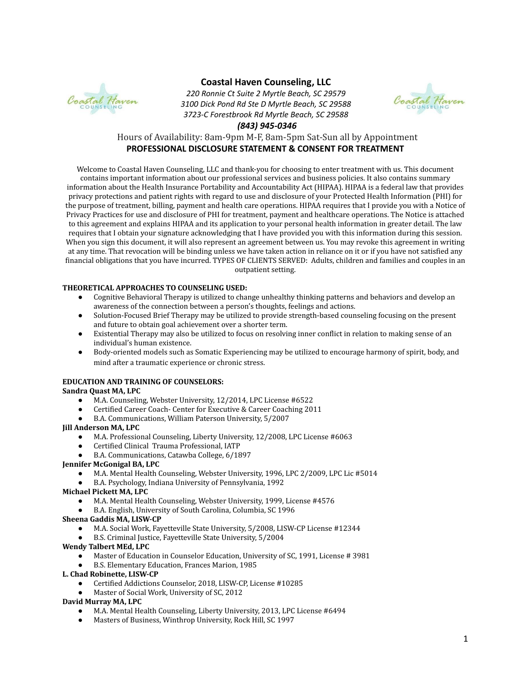

# **Coastal Haven Counseling, LLC**

*220 Ronnie Ct Suite 2 Myrtle Beach, SC 29579 3100 Dick Pond Rd Ste D Myrtle Beach, SC 29588 3723-C Forestbrook Rd Myrtle Beach, SC 29588*



### *(843) 945-0346*

# Hours of Availability: 8am-9pm M-F, 8am-5pm Sat-Sun all by Appointment **PROFESSIONAL DISCLOSURE STATEMENT & CONSENT FOR TREATMENT**

Welcome to Coastal Haven Counseling, LLC and thank-you for choosing to enter treatment with us. This document contains important information about our professional services and business policies. It also contains summary information about the Health Insurance Portability and Accountability Act (HIPAA). HIPAA is a federal law that provides privacy protections and patient rights with regard to use and disclosure of your Protected Health Information (PHI) for the purpose of treatment, billing, payment and health care operations. HIPAA requires that I provide you with a Notice of Privacy Practices for use and disclosure of PHI for treatment, payment and healthcare operations. The Notice is attached to this agreement and explains HIPAA and its application to your personal health information in greater detail. The law requires that I obtain your signature acknowledging that I have provided you with this information during this session. When you sign this document, it will also represent an agreement between us. You may revoke this agreement in writing at any time. That revocation will be binding unless we have taken action in reliance on it or if you have not satisfied any financial obligations that you have incurred. TYPES OF CLIENTS SERVED: Adults, children and families and couples in an outpatient setting.

## **THEORETICAL APPROACHES TO COUNSELING USED:**

- Cognitive Behavioral Therapy is utilized to change unhealthy thinking patterns and behaviors and develop an awareness of the connection between a person's thoughts, feelings and actions.
- Solution-Focused Brief Therapy may be utilized to provide strength-based counseling focusing on the present and future to obtain goal achievement over a shorter term.
- Existential Therapy may also be utilized to focus on resolving inner conflict in relation to making sense of an individual's human existence.
- Body-oriented models such as Somatic Experiencing may be utilized to encourage harmony of spirit, body, and mind after a traumatic experience or chronic stress.

## **EDUCATION AND TRAINING OF COUNSELORS:**

### **Sandra Quast MA, LPC**

- M.A. Counseling, Webster University, 12/2014, LPC License #6522
- Certified Career Coach- Center for Executive & Career Coaching 2011
- B.A. Communications, William Paterson University, 5/2007

### **Jill Anderson MA, LPC**

- M.A. Professional Counseling, Liberty University, 12/2008, LPC License #6063
- Certified Clinical Trauma Professional, IATP
- B.A. Communications, Catawba College, 6/1897
- **Jennifer McGonigal BA, LPC**
	- M.A. Mental Health Counseling, Webster University, 1996, LPC 2/2009, LPC Lic #5014
	- B.A. Psychology, Indiana University of Pennsylvania, 1992

## **Michael Pickett MA, LPC**

- M.A. Mental Health Counseling, Webster University, 1999, License #4576
- B.A. English, University of South Carolina, Columbia, SC 1996

### **Sheena Gaddis MA, LISW-CP**

- M.A. Social Work, Fayetteville State University, 5/2008, LISW-CP License #12344
- B.S. Criminal Justice, Fayetteville State University, 5/2004

## **Wendy Talbert MEd, LPC**

- Master of Education in Counselor Education, University of SC, 1991, License # 3981
- B.S. Elementary Education, Frances Marion, 1985

### **L. Chad Robinette, LISW-CP**

- Certified Addictions Counselor, 2018, LISW-CP, License #10285
- Master of Social Work, University of SC, 2012

### **David Murray MA, LPC**

- M.A. Mental Health Counseling, Liberty University, 2013, LPC License #6494
- Masters of Business, Winthrop University, Rock Hill, SC 1997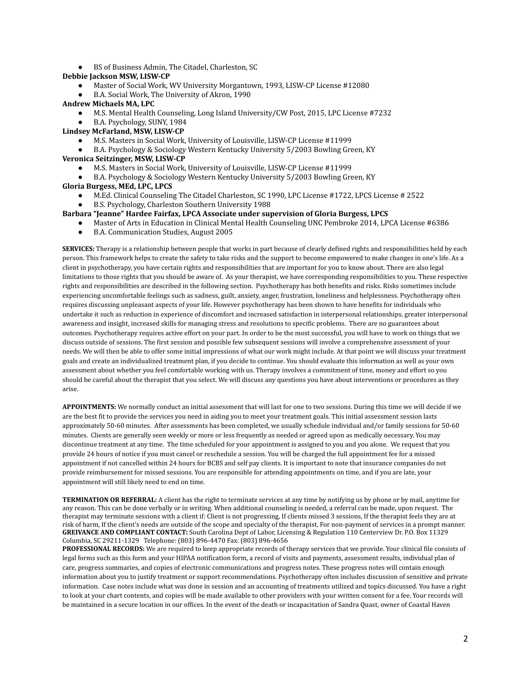● BS of Business Admin, The Citadel, Charleston, SC

#### **Debbie Jackson MSW, LISW-CP**

- Master of Social Work, WV University Morgantown, 1993, LISW-CP License #12080
- B.A. Social Work, The University of Akron, 1990

#### **Andrew Michaels MA, LPC**

- M.S. Mental Health Counseling, Long Island University/CW Post, 2015, LPC License #7232
- **●** B.A. Psychology, SUNY, 1984
- **Lindsey McFarland, MSW, LISW-CP**
	- M.S. Masters in Social Work, University of Louisville, LISW-CP License #11999
- **●** B.A. Psychology & Sociology Western Kentucky University 5/2003 Bowling Green, KY **Veronica Seitzinger, MSW, LISW-CP**
	- M.S. Masters in Social Work, University of Louisville, LISW-CP License #11999
	- **●** B.A. Psychology & Sociology Western Kentucky University 5/2003 Bowling Green, KY

#### **Gloria Burgess, MEd, LPC, LPCS**

- M.Ed. Clinical Counseling The Citadel Charleston, SC 1990, LPC License #1722, LPCS License # 2522
- **●** B.S. Psychology, Charleston Southern University 1988

#### **Barbara "Jeanne" Hardee Fairfax, LPCA Associate under supervision of Gloria Burgess, LPCS**

- Master of Arts in Education in Clinical Mental Health Counseling UNC Pembroke 2014, LPCA License #6386
- **●** B.A. Communication Studies, August 2005

**SERVICES:** Therapy is a relationship between people that works in part because of clearly defined rights and responsibilities held by each person. This framework helps to create the safety to take risks and the support to become empowered to make changes in one's life. As a client in psychotherapy, you have certain rights and responsibilities that are important for you to know about. There are also legal limitations to those rights that you should be aware of. As your therapist, we have corresponding responsibilities to you. These respective rights and responsibilities are described in the following section. Psychotherapy has both benefits and risks. Risks sometimes include experiencing uncomfortable feelings such as sadness, guilt, anxiety, anger, frustration, loneliness and helplessness. Psychotherapy often requires discussing unpleasant aspects of your life. However psychotherapy has been shown to have benefits for individuals who undertake it such as reduction in experience of discomfort and increased satisfaction in interpersonal relationships, greater interpersonal awareness and insight, increased skills for managing stress and resolutions to specific problems. There are no guarantees about outcomes. Psychotherapy requires active effort on your part. In order to be the most successful, you will have to work on things that we discuss outside of sessions. The first session and possible few subsequent sessions will involve a comprehensive assessment of your needs. We will then be able to offer some initial impressions of what our work might include. At that point we will discuss your treatment goals and create an individualized treatment plan, if you decide to continue. You should evaluate this information as well as your own assessment about whether you feel comfortable working with us. Therapy involves a commitment of time, money and effort so you should be careful about the therapist that you select. We will discuss any questions you have about interventions or procedures as they arise.

**APPOINTMENTS:** We normally conduct an initial assessment that will last for one to two sessions. During this time we will decide if we are the best fit to provide the services you need in aiding you to meet your treatment goals. This initial assessment session lasts approximately 50-60 minutes. After assessments has been completed, we usually schedule individual and/or family sessions for 50-60 minutes. Clients are generally seen weekly or more or less frequently as needed or agreed upon as medically necessary. You may discontinue treatment at any time. The time scheduled for your appointment is assigned to you and you alone. We request that you provide 24 hours of notice if you must cancel or reschedule a session. You will be charged the full appointment fee for a missed appointment if not cancelled within 24 hours for BCBS and self pay clients. It is important to note that insurance companies do not provide reimbursement for missed sessions. You are responsible for attending appointments on time, and if you are late, your appointment will still likely need to end on time.

**TERMINATION OR REFERRAL:** A client has the right to terminate services at any time by notifying us by phone or by mail, anytime for any reason. This can be done verbally or in writing. When additional counseling is needed, a referral can be made, upon request. The therapist may terminate sessions with a client if: Client is not progressing, If clients missed 3 sessions, If the therapist feels they are at risk of harm, If the client's needs are outside of the scope and specialty of the therapist, For non-payment of services in a prompt manner. **GREIVANCE AND COMPLIANT CONTACT:** South Carolina Dept of Labor, Licensing & Regulation 110 Centerview Dr. P.O. Box 11329 Columbia, SC 29211-1329 Telephone: (803) 896-4470 Fax: (803) 896-4656

**PROFESSIONAL RECORDS:** We are required to keep appropriate records of therapy services that we provide. Your clinical file consists of legal forms such as this form and your HIPAA notification form, a record of visits and payments, assessment results, individual plan of care, progress summaries, and copies of electronic communications and progress notes. These progress notes will contain enough information about you to justify treatment or support recommendations. Psychotherapy often includes discussion of sensitive and private information. Case notes include what was done in session and an accounting of treatments utilized and topics discussed. You have a right to look at your chart contents, and copies will be made available to other providers with your written consent for a fee. Your records will be maintained in a secure location in our offices. In the event of the death or incapacitation of Sandra Quast, owner of Coastal Haven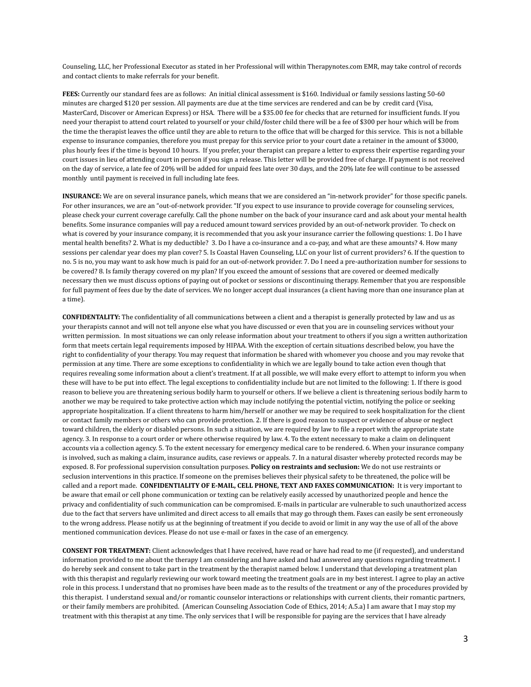Counseling, LLC, her Professional Executor as stated in her Professional will within Therapynotes.com EMR, may take control of records and contact clients to make referrals for your benefit.

**FEES:** Currently our standard fees are as follows: An initial clinical assessment is \$160. Individual or family sessions lasting 50-60 minutes are charged \$120 per session. All payments are due at the time services are rendered and can be by credit card (Visa, MasterCard, Discover or American Express) or HSA. There will be a \$35.00 fee for checks that are returned for insufficient funds. If you need your therapist to attend court related to yourself or your child/foster child there will be a fee of \$300 per hour which will be from the time the therapist leaves the office until they are able to return to the office that will be charged for this service. This is not a billable expense to insurance companies, therefore you must prepay for this service prior to your court date a retainer in the amount of \$3000, plus hourly fees if the time is beyond 10 hours. If you prefer, your therapist can prepare a letter to express their expertise regarding your court issues in lieu of attending court in person if you sign a release. This letter will be provided free of charge. If payment is not received on the day of service, a late fee of 20% will be added for unpaid fees late over 30 days, and the 20% late fee will continue to be assessed monthly until payment is received in full including late fees.

**INSURANCE:** We are on several insurance panels, which means that we are considered an "in-network provider" for those specific panels. For other insurances, we are an "out-of-network provider. "If you expect to use insurance to provide coverage for counseling services, please check your current coverage carefully. Call the phone number on the back of your insurance card and ask about your mental health benefits. Some insurance companies will pay a reduced amount toward services provided by an out-of-network provider. To check on what is covered by your insurance company, it is recommended that you ask your insurance carrier the following questions: 1. Do I have mental health benefits? 2. What is my deductible? 3. Do I have a co-insurance and a co-pay, and what are these amounts? 4. How many sessions per calendar year does my plan cover? 5. Is Coastal Haven Counseling, LLC on your list of current providers? 6. If the question to no. 5 is no, you may want to ask how much is paid for an out-of-network provider. 7. Do I need a pre-authorization number for sessions to be covered? 8. Is family therapy covered on my plan? If you exceed the amount of sessions that are covered or deemed medically necessary then we must discuss options of paying out of pocket or sessions or discontinuing therapy. Remember that you are responsible for full payment of fees due by the date of services. We no longer accept dual insurances (a client having more than one insurance plan at a time).

**CONFIDENTALITY:** The confidentiality of all communications between a client and a therapist is generally protected by law and us as your therapists cannot and will not tell anyone else what you have discussed or even that you are in counseling services without your written permission. In most situations we can only release information about your treatment to others if you sign a written authorization form that meets certain legal requirements imposed by HIPAA. With the exception of certain situations described below, you have the right to confidentiality of your therapy. You may request that information be shared with whomever you choose and you may revoke that permission at any time. There are some exceptions to confidentiality in which we are legally bound to take action even though that requires revealing some information about a client's treatment. If at all possible, we will make every effort to attempt to inform you when these will have to be put into effect. The legal exceptions to confidentiality include but are not limited to the following: 1. If there is good reason to believe you are threatening serious bodily harm to yourself or others. If we believe a client is threatening serious bodily harm to another we may be required to take protective action which may include notifying the potential victim, notifying the police or seeking appropriate hospitalization. If a client threatens to harm him/herself or another we may be required to seek hospitalization for the client or contact family members or others who can provide protection. 2. If there is good reason to suspect or evidence of abuse or neglect toward children, the elderly or disabled persons. In such a situation, we are required by law to file a report with the appropriate state agency. 3. In response to a court order or where otherwise required by law. 4. To the extent necessary to make a claim on delinquent accounts via a collection agency. 5. To the extent necessary for emergency medical care to be rendered. 6. When your insurance company is involved, such as making a claim, insurance audits, case reviews or appeals. 7. In a natural disaster whereby protected records may be exposed. 8. For professional supervision consultation purposes. **Policy on restraints and seclusion:** We do not use restraints or seclusion interventions in this practice. If someone on the premises believes their physical safety to be threatened, the police will be called and a report made. **CONFIDENTIALITY OF E-MAIL, CELL PHONE, TEXT AND FAXES COMMUNICATION:** It is very important to be aware that email or cell phone communication or texting can be relatively easily accessed by unauthorized people and hence the privacy and confidentiality of such communication can be compromised. E-mails in particular are vulnerable to such unauthorized access due to the fact that servers have unlimited and direct access to all emails that may go through them. Faxes can easily be sent erroneously to the wrong address. Please notify us at the beginning of treatment if you decide to avoid or limit in any way the use of all of the above mentioned communication devices. Please do not use e-mail or faxes in the case of an emergency.

**CONSENT FOR TREATMENT:** Client acknowledges that I have received, have read or have had read to me (if requested), and understand information provided to me about the therapy I am considering and have asked and had answered any questions regarding treatment. I do hereby seek and consent to take part in the treatment by the therapist named below. I understand that developing a treatment plan with this therapist and regularly reviewing our work toward meeting the treatment goals are in my best interest. I agree to play an active role in this process. I understand that no promises have been made as to the results of the treatment or any of the procedures provided by this therapist. I understand sexual and/or romantic counselor interactions or relationships with current clients, their romantic partners, or their family members are prohibited. (American Counseling Association Code of Ethics, 2014; A.5.a) I am aware that I may stop my treatment with this therapist at any time. The only services that I will be responsible for paying are the services that I have already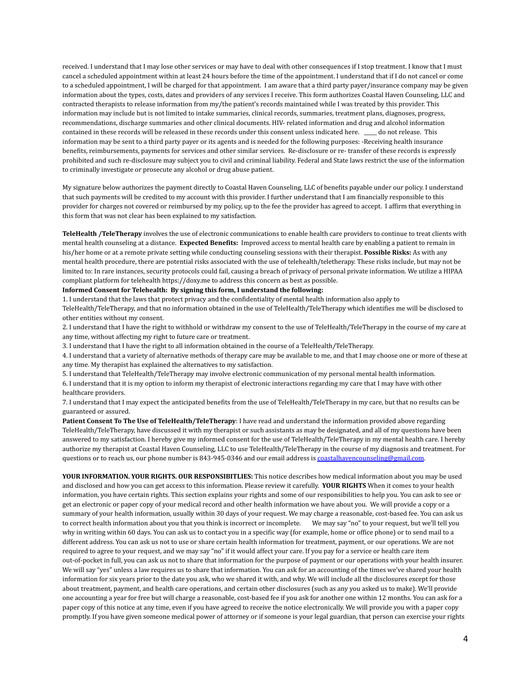received. I understand that I may lose other services or may have to deal with other consequences if I stop treatment. I know that I must cancel a scheduled appointment within at least 24 hours before the time of the appointment. I understand that if I do not cancel or come to a scheduled appointment, I will be charged for that appointment. I am aware that a third party payer/insurance company may be given information about the types, costs, dates and providers of any services I receive. This form authorizes Coastal Haven Counseling, LLC and contracted therapists to release information from my/the patient's records maintained while I was treated by this provider. This information may include but is not limited to intake summaries, clinical records, summaries, treatment plans, diagnoses, progress, recommendations, discharge summaries and other clinical documents. HIV- related information and drug and alcohol information contained in these records will be released in these records under this consent unless indicated here. \_\_\_\_\_ do not release. This information may be sent to a third party payer or its agents and is needed for the following purposes: -Receiving health insurance benefits, reimbursements, payments for services and other similar services. Re-disclosure or re- transfer of these records is expressly prohibited and such re-disclosure may subject you to civil and criminal liability. Federal and State laws restrict the use of the information to criminally investigate or prosecute any alcohol or drug abuse patient.

My signature below authorizes the payment directly to Coastal Haven Counseling, LLC of benefits payable under our policy. I understand that such payments will be credited to my account with this provider. I further understand that I am financially responsible to this provider for charges not covered or reimbursed by my policy, up to the fee the provider has agreed to accept. I affirm that everything in this form that was not clear has been explained to my satisfaction.

**TeleHealth /TeleTherapy** involves the use of electronic communications to enable health care providers to continue to treat clients with mental health counseling at a distance. **Expected Benefits:** Improved access to mental health care by enabling a patient to remain in his/her home or at a remote private setting while conducting counseling sessions with their therapist. **Possible Risks:** As with any mental health procedure, there are potential risks associated with the use of telehealth/teletherapy. These risks include, but may not be limited to: In rare instances, security protocols could fail, causing a breach of privacy of personal private information. We utilize a HIPAA compliant platform for telehealth https://doxy.me to address this concern as best as possible.

#### **Informed Consent for Telehealth: By signing this form, I understand the following:**

1. I understand that the laws that protect privacy and the confidentiality of mental health information also apply to TeleHealth/TeleTherapy, and that no information obtained in the use of TeleHealth/TeleTherapy which identifies me will be disclosed to other entities without my consent.

2. I understand that I have the right to withhold or withdraw my consent to the use of TeleHealth/TeleTherapy in the course of my care at any time, without affecting my right to future care or treatment.

3. I understand that I have the right to all information obtained in the course of a TeleHealth/TeleTherapy.

4. I understand that a variety of alternative methods of therapy care may be available to me, and that I may choose one or more of these at any time. My therapist has explained the alternatives to my satisfaction.

5. I understand that TeleHealth/TeleTherapy may involve electronic communication of my personal mental health information.

6. I understand that it is my option to inform my therapist of electronic interactions regarding my care that I may have with other healthcare providers.

7. I understand that I may expect the anticipated benefits from the use of TeleHealth/TeleTherapy in my care, but that no results can be guaranteed or assured.

**Patient Consent To The Use of TeleHealth/TeleTherapy**: I have read and understand the information provided above regarding TeleHealth/TeleTherapy, have discussed it with my therapist or such assistants as may be designated, and all of my questions have been answered to my satisfaction. I hereby give my informed consent for the use of TeleHealth/TeleTherapy in my mental health care. I hereby authorize my therapist at Coastal Haven Counseling, LLC to use TeleHealth/TeleTherapy in the course of my diagnosis and treatment. For questions or to reach us, our phone number is 843-945-0346 and our email address is [coastalhavencounseling@gmail.com](mailto:coastalhavencounseling@gmail.com).

**YOUR INFORMATION. YOUR RIGHTS. OUR RESPONSIBITLIES:** This notice describes how medical information about you may be used and disclosed and how you can get access to this information. Please review it carefully. **YOUR RIGHTS** When it comes to your health information, you have certain rights. This section explains your rights and some of our responsibilities to help you. You can ask to see or get an electronic or paper copy of your medical record and other health information we have about you. We will provide a copy or a summary of your health information, usually within 30 days of your request. We may charge a reasonable, cost-based fee. You can ask us to correct health information about you that you think is incorrect or incomplete. We may say "no" to your request, but we'll tell you why in writing within 60 days. You can ask us to contact you in a specific way (for example, home or office phone) or to send mail to a different address. You can ask us not to use or share certain health information for treatment, payment, or our operations. We are not required to agree to your request, and we may say "no" if it would affect your care. If you pay for a service or health care item out-of-pocket in full, you can ask us not to share that information for the purpose of payment or our operations with your health insurer. We will say "yes" unless a law requires us to share that information. You can ask for an accounting of the times we've shared your health information for six years prior to the date you ask, who we shared it with, and why. We will include all the disclosures except for those about treatment, payment, and health care operations, and certain other disclosures (such as any you asked us to make). We'll provide one accounting a year for free but will charge a reasonable, cost-based fee if you ask for another one within 12 months. You can ask for a paper copy of this notice at any time, even if you have agreed to receive the notice electronically. We will provide you with a paper copy promptly. If you have given someone medical power of attorney or if someone is your legal guardian, that person can exercise your rights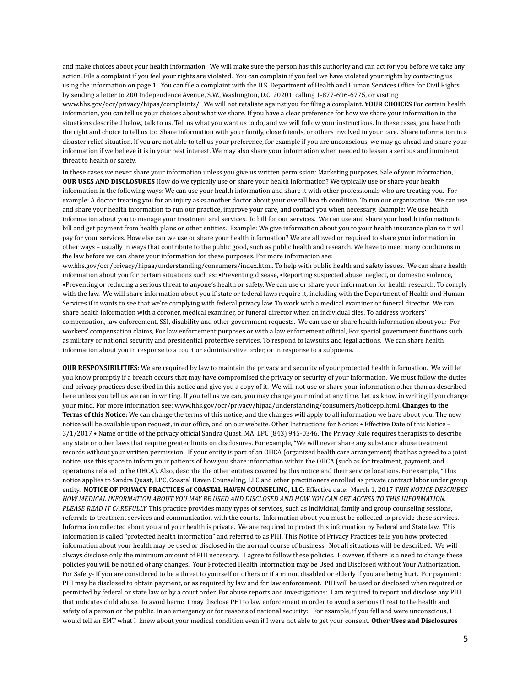and make choices about your health information. We will make sure the person has this authority and can act for you before we take any action. File a complaint if you feel your rights are violated. You can complain if you feel we have violated your rights by contacting us using the information on page 1. You can file a complaint with the U.S. Department of Health and Human Services Office for Civil Rights by sending a letter to 200 Independence Avenue, S.W., Washington, D.C. 20201, calling 1-877-696-6775, or visiting www.hhs.gov/ocr/privacy/hipaa/complaints/. We will not retaliate against you for filing a complaint. **YOUR CHOICES** For certain health information, you can tell us your choices about what we share. If you have a clear preference for how we share your information in the situations described below, talk to us. Tell us what you want us to do, and we will follow your instructions. In these cases, you have both the right and choice to tell us to: Share information with your family, close friends, or others involved in your care. Share information in a disaster relief situation. If you are not able to tell us your preference, for example if you are unconscious, we may go ahead and share your information if we believe it is in your best interest. We may also share your information when needed to lessen a serious and imminent threat to health or safety.

In these cases we never share your information unless you give us written permission: Marketing purposes, Sale of your information, **OUR USES AND DISCLOSURES** How do we typically use or share your health information? We typically use or share your health information in the following ways: We can use your health information and share it with other professionals who are treating you. For example: A doctor treating you for an injury asks another doctor about your overall health condition. To run our organization. We can use and share your health information to run our practice, improve your care, and contact you when necessary. Example: We use health information about you to manage your treatment and services. To bill for our services. We can use and share your health information to bill and get payment from health plans or other entities. Example: We give information about you to your health insurance plan so it will pay for your services. How else can we use or share your health information? We are allowed or required to share your information in other ways – usually in ways that contribute to the public good, such as public health and research. We have to meet many conditions in the law before we can share your information for these purposes. For more information see:

ww.hhs.gov/ocr/privacy/hipaa/understanding/consumers/index.html. To help with public health and safety issues. We can share health information about you for certain situations such as: •Preventing disease, •Reporting suspected abuse, neglect, or domestic violence, •Preventing or reducing a serious threat to anyone's health or safety. We can use or share your information for health research. To comply with the law. We will share information about you if state or federal laws require it, including with the Department of Health and Human Services if it wants to see that we're complying with federal privacy law. To work with a medical examiner or funeral director. We can share health information with a coroner, medical examiner, or funeral director when an individual dies. To address workers' compensation, law enforcement, SSI, disability and other government requests. We can use or share health information about you: For workers' compensation claims, For law enforcement purposes or with a law enforcement official, For special government functions such as military or national security and presidential protective services, To respond to lawsuits and legal actions. We can share health information about you in response to a court or administrative order, or in response to a subpoena.

**OUR RESPONSIBILITIES**: We are required by law to maintain the privacy and security of your protected health information. We will let you know promptly if a breach occurs that may have compromised the privacy or security of your information. We must follow the duties and privacy practices described in this notice and give you a copy of it. We will not use or share your information other than as described here unless you tell us we can in writing. If you tell us we can, you may change your mind at any time. Let us know in writing if you change your mind. For more information see: www.hhs.gov/ocr/privacy/hipaa/understanding/consumers/noticepp.html. **Changes to the Terms of this Notice:** We can change the terms of this notice, and the changes will apply to all information we have about you. The new notice will be available upon request, in our office, and on our website. Other Instructions for Notice: • Effective Date of this Notice – 3/1/2017 • Name or title of the privacy official Sandra Quast, MA, LPC (843) 945-0346. The Privacy Rule requires therapists to describe any state or other laws that require greater limits on disclosures. For example, "We will never share any substance abuse treatment records without your written permission. If your entity is part of an OHCA (organized health care arrangement) that has agreed to a joint notice, use this space to inform your patients of how you share information within the OHCA (such as for treatment, payment, and operations related to the OHCA). Also, describe the other entities covered by this notice and their service locations. For example, "This notice applies to Sandra Quast, LPC, Coastal Haven Counseling, LLC and other practitioners enrolled as private contract labor under group entity. **NOTICE OF PRIVACY PRACTICES of COASTAL HAVEN COUNSELING, LLC:** Effective date: March 1, 2017 *THIS NOTICE DESCRIBES* HOW MEDICAL INFORMATION ABOUT YOU MAY BE USED AND DISCLOSED AND HOW YOU CAN GET ACCESS TO THIS INFORMATION. *PLEASE READ IT CAREFULLY.* This practice provides many types of services, such as individual, family and group counseling sessions, referrals to treatment services and communication with the courts. Information about you must be collected to provide these services. Information collected about you and your health is private. We are required to protect this information by Federal and State law. This information is called "protected health information" and referred to as PHI. This Notice of Privacy Practices tells you how protected information about your health may be used or disclosed in the normal course of business. Not all situations will be described. We will always disclose only the minimum amount of PHI necessary. I agree to follow these policies. However, if there is a need to change these policies you will be notified of any changes. Your Protected Health Information may be Used and Disclosed without Your Authorization. For Safety- If you are considered to be a threat to yourself or others or if a minor, disabled or elderly if you are being hurt. For payment: PHI may be disclosed to obtain payment, or as required by law and for law enforcement. PHI will be used or disclosed when required or permitted by federal or state law or by a court order. For abuse reports and investigations: I am required to report and disclose any PHI that indicates child abuse. To avoid harm: I may disclose PHI to law enforcement in order to avoid a serious threat to the health and safety of a person or the public. In an emergency or for reasons of national security: For example, if you fell and were unconscious, I would tell an EMT what I knew about your medical condition even if I were not able to get your consent. **Other Uses and Disclosures**